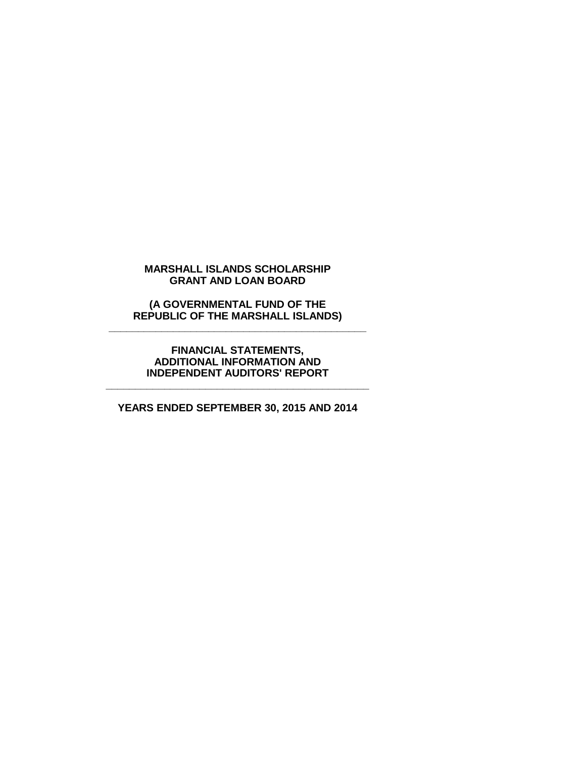**(A GOVERNMENTAL FUND OF THE REPUBLIC OF THE MARSHALL ISLANDS) \_\_\_\_\_\_\_\_\_\_\_\_\_\_\_\_\_\_\_\_\_\_\_\_\_\_\_\_\_\_\_\_\_\_\_\_\_\_\_\_\_\_\_\_**

## **FINANCIAL STATEMENTS, ADDITIONAL INFORMATION AND INDEPENDENT AUDITORS' REPORT**

**YEARS ENDED SEPTEMBER 30, 2015 AND 2014**

**\_\_\_\_\_\_\_\_\_\_\_\_\_\_\_\_\_\_\_\_\_\_\_\_\_\_\_\_\_\_\_\_\_\_\_\_\_\_\_\_\_\_\_\_\_**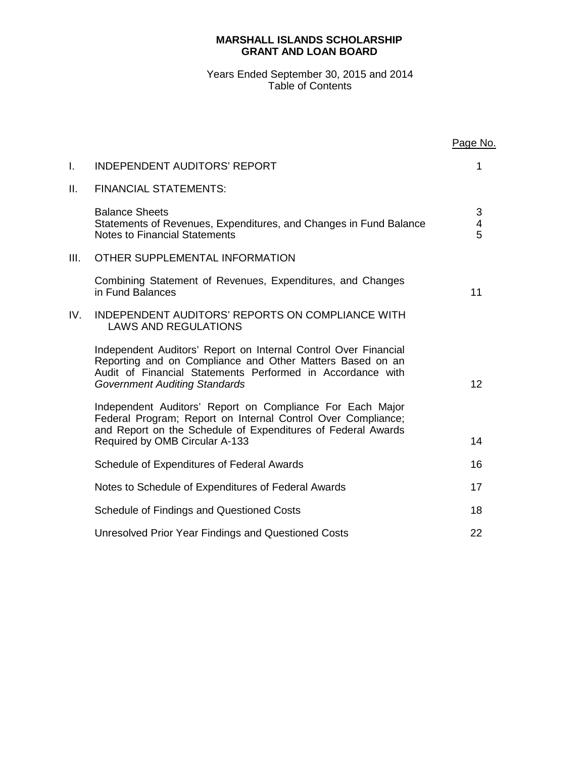Years Ended September 30, 2015 and 2014 Table of Contents

|      |                                                                                                                                                                                                                                    | Page No.    |
|------|------------------------------------------------------------------------------------------------------------------------------------------------------------------------------------------------------------------------------------|-------------|
| I.   | <b>INDEPENDENT AUDITORS' REPORT</b>                                                                                                                                                                                                | 1           |
| ΙΙ.  | <b>FINANCIAL STATEMENTS:</b>                                                                                                                                                                                                       |             |
|      | <b>Balance Sheets</b><br>Statements of Revenues, Expenditures, and Changes in Fund Balance<br><b>Notes to Financial Statements</b>                                                                                                 | 3<br>4<br>5 |
| III. | OTHER SUPPLEMENTAL INFORMATION                                                                                                                                                                                                     |             |
|      | Combining Statement of Revenues, Expenditures, and Changes<br>in Fund Balances                                                                                                                                                     | 11          |
| IV.  | INDEPENDENT AUDITORS' REPORTS ON COMPLIANCE WITH<br><b>LAWS AND REGULATIONS</b>                                                                                                                                                    |             |
|      | Independent Auditors' Report on Internal Control Over Financial<br>Reporting and on Compliance and Other Matters Based on an<br>Audit of Financial Statements Performed in Accordance with<br><b>Government Auditing Standards</b> | 12          |
|      | Independent Auditors' Report on Compliance For Each Major<br>Federal Program; Report on Internal Control Over Compliance;<br>and Report on the Schedule of Expenditures of Federal Awards<br>Required by OMB Circular A-133        | 14          |
|      | Schedule of Expenditures of Federal Awards                                                                                                                                                                                         | 16          |
|      | Notes to Schedule of Expenditures of Federal Awards                                                                                                                                                                                | 17          |
|      | Schedule of Findings and Questioned Costs                                                                                                                                                                                          | 18          |
|      | Unresolved Prior Year Findings and Questioned Costs                                                                                                                                                                                | 22          |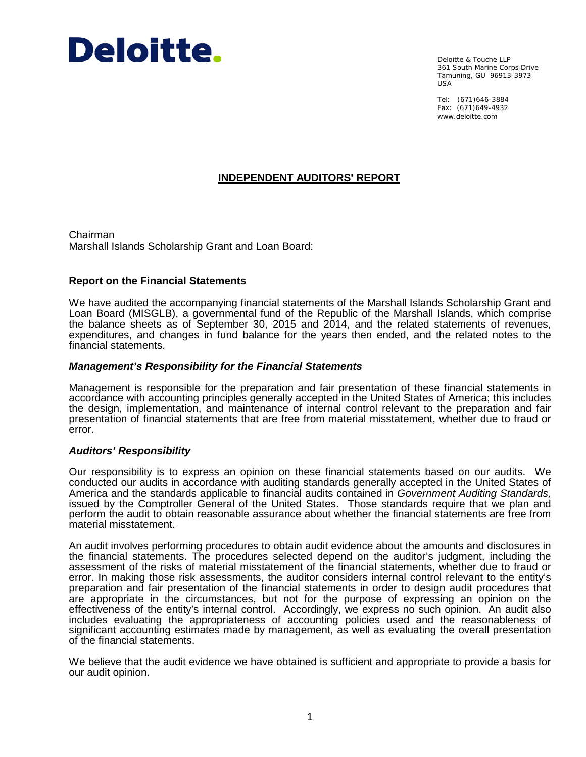

Deloitte & Touche LLP 361 South Marine Corps Drive Tamuning, GU 96913-3973 USA

Tel: (671)646-3884 Fax: (671)649-4932 www.deloitte.com

# **INDEPENDENT AUDITORS' REPORT**

Chairman Marshall Islands Scholarship Grant and Loan Board:

# **Report on the Financial Statements**

We have audited the accompanying financial statements of the Marshall Islands Scholarship Grant and Loan Board (MISGLB), a governmental fund of the Republic of the Marshall Islands, which comprise the balance sheets as of September 30, 2015 and 2014, and the related statements of revenues, expenditures, and changes in fund balance for the years then ended, and the related notes to the financial statements.

#### *Management's Responsibility for the Financial Statements*

Management is responsible for the preparation and fair presentation of these financial statements in accordance with accounting principles generally accepted in the United States of America; this includes the design, implementation, and maintenance of internal control relevant to the preparation and fair presentation of financial statements that are free from material misstatement, whether due to fraud or error.

#### *Auditors' Responsibility*

Our responsibility is to express an opinion on these financial statements based on our audits. We conducted our audits in accordance with auditing standards generally accepted in the United States of America and the standards applicable to financial audits contained in *Government Auditing Standards,* issued by the Comptroller General of the United States. Those standards require that we plan and perform the audit to obtain reasonable assurance about whether the financial statements are free from material misstatement.

An audit involves performing procedures to obtain audit evidence about the amounts and disclosures in the financial statements. The procedures selected depend on the auditor's judgment, including the assessment of the risks of material misstatement of the financial statements, whether due to fraud or error. In making those risk assessments, the auditor considers internal control relevant to the entity's preparation and fair presentation of the financial statements in order to design audit procedures that are appropriate in the circumstances, but not for the purpose of expressing an opinion on the effectiveness of the entity's internal control. Accordingly, we express no such opinion. An audit also includes evaluating the appropriateness of accounting policies used and the reasonableness of significant accounting estimates made by management, as well as evaluating the overall presentation of the financial statements.

We believe that the audit evidence we have obtained is sufficient and appropriate to provide a basis for our audit opinion.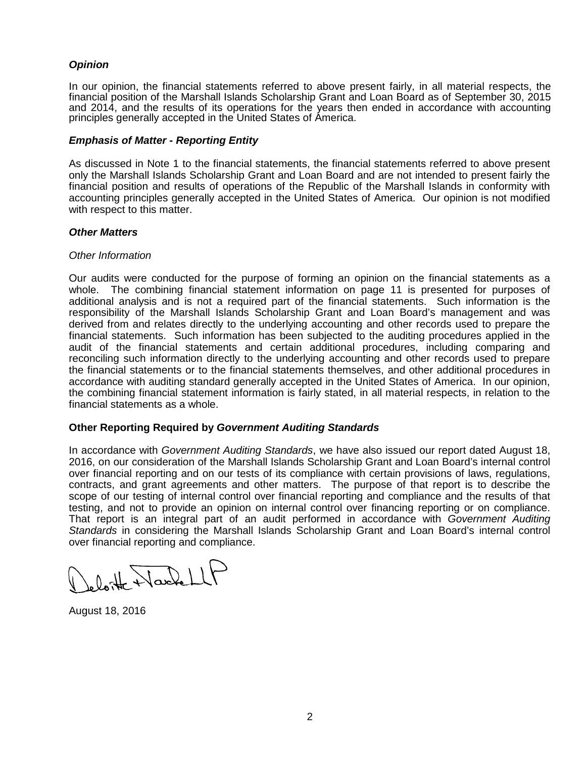# *Opinion*

In our opinion, the financial statements referred to above present fairly, in all material respects, the financial position of the Marshall Islands Scholarship Grant and Loan Board as of September 30, 2015 and 2014, and the results of its operations for the years then ended in accordance with accounting principles generally accepted in the United States of America.

# *Emphasis of Matter - Reporting Entity*

As discussed in Note 1 to the financial statements, the financial statements referred to above present only the Marshall Islands Scholarship Grant and Loan Board and are not intended to present fairly the financial position and results of operations of the Republic of the Marshall Islands in conformity with accounting principles generally accepted in the United States of America. Our opinion is not modified with respect to this matter.

# *Other Matters*

# *Other Information*

Our audits were conducted for the purpose of forming an opinion on the financial statements as a whole. The combining financial statement information on page 11 is presented for purposes of additional analysis and is not a required part of the financial statements. Such information is the responsibility of the Marshall Islands Scholarship Grant and Loan Board's management and was derived from and relates directly to the underlying accounting and other records used to prepare the financial statements. Such information has been subjected to the auditing procedures applied in the audit of the financial statements and certain additional procedures, including comparing and reconciling such information directly to the underlying accounting and other records used to prepare the financial statements or to the financial statements themselves, and other additional procedures in accordance with auditing standard generally accepted in the United States of America. In our opinion, the combining financial statement information is fairly stated, in all material respects, in relation to the financial statements as a whole.

# **Other Reporting Required by** *Government Auditing Standards*

In accordance with *Government Auditing Standards*, we have also issued our report dated August 18, 2016, on our consideration of the Marshall Islands Scholarship Grant and Loan Board's internal control over financial reporting and on our tests of its compliance with certain provisions of laws, regulations, contracts, and grant agreements and other matters. The purpose of that report is to describe the scope of our testing of internal control over financial reporting and compliance and the results of that testing, and not to provide an opinion on internal control over financing reporting or on compliance. That report is an integral part of an audit performed in accordance with *Government Auditing Standards* in considering the Marshall Islands Scholarship Grant and Loan Board's internal control over financial reporting and compliance.

eloitte NacheLl

August 18, 2016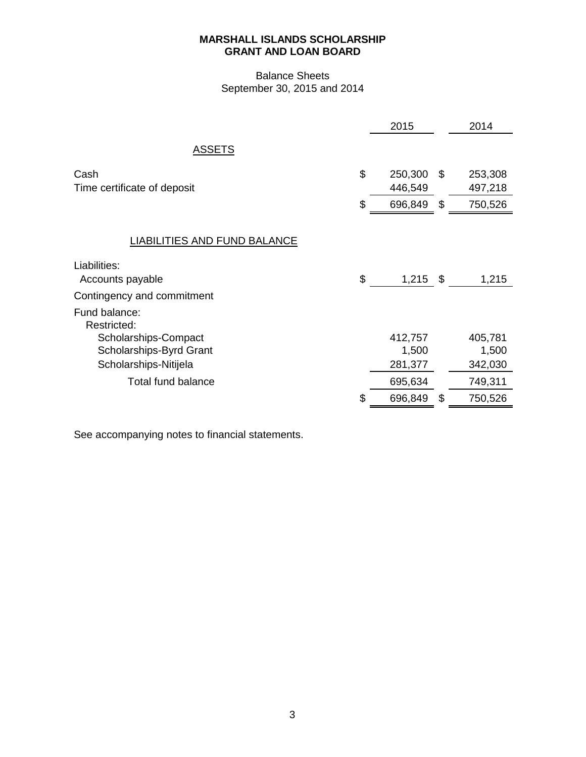# Balance Sheets September 30, 2015 and 2014

|                                                     |    | 2015               | 2014                     |
|-----------------------------------------------------|----|--------------------|--------------------------|
| <b>ASSETS</b>                                       |    |                    |                          |
| Cash<br>Time certificate of deposit                 | \$ | 250,300<br>446,549 | \$<br>253,308<br>497,218 |
|                                                     | \$ | 696,849            | \$<br>750,526            |
| <b>LIABILITIES AND FUND BALANCE</b><br>Liabilities: |    |                    |                          |
| Accounts payable                                    | \$ | $1,215$ \$         | 1,215                    |
| Contingency and commitment                          |    |                    |                          |
| Fund balance:<br>Restricted:                        |    |                    |                          |
| Scholarships-Compact                                |    | 412,757            | 405,781                  |
| Scholarships-Byrd Grant                             |    | 1,500              | 1,500                    |
| Scholarships-Nitijela                               |    | 281,377            | 342,030                  |
| <b>Total fund balance</b>                           |    | 695,634            | 749,311                  |
|                                                     | S  | 696,849            | \$<br>750,526            |

See accompanying notes to financial statements.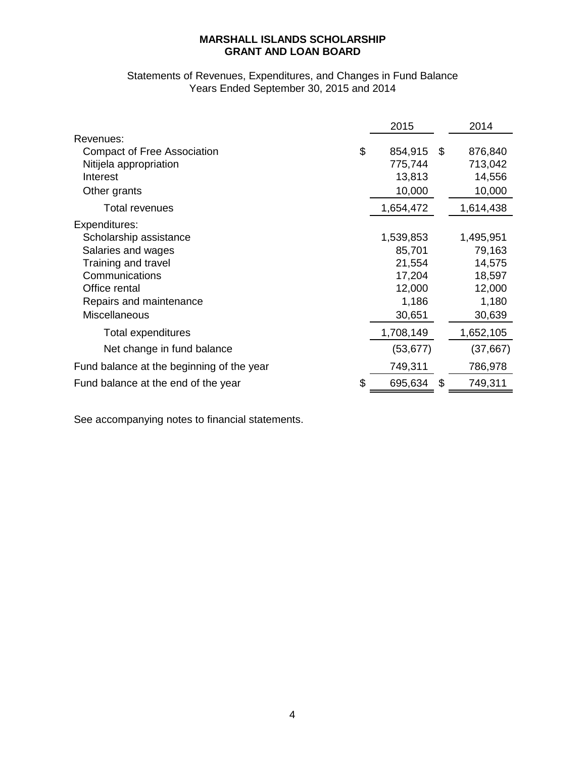# Statements of Revenues, Expenditures, and Changes in Fund Balance Years Ended September 30, 2015 and 2014

|                                           |    | 2015      | 2014          |
|-------------------------------------------|----|-----------|---------------|
| Revenues:                                 |    |           |               |
| Compact of Free Association               | \$ | 854,915   | \$<br>876,840 |
| Nitijela appropriation                    |    | 775,744   | 713,042       |
| Interest                                  |    | 13,813    | 14,556        |
| Other grants                              |    | 10,000    | 10,000        |
| <b>Total revenues</b>                     |    | 1,654,472 | 1,614,438     |
| Expenditures:                             |    |           |               |
| Scholarship assistance                    |    | 1,539,853 | 1,495,951     |
| Salaries and wages                        |    | 85,701    | 79,163        |
| Training and travel                       |    | 21,554    | 14,575        |
| Communications                            |    | 17,204    | 18,597        |
| Office rental                             |    | 12,000    | 12,000        |
| Repairs and maintenance                   |    | 1,186     | 1,180         |
| Miscellaneous                             |    | 30,651    | 30,639        |
| Total expenditures                        |    | 1,708,149 | 1,652,105     |
| Net change in fund balance                |    | (53, 677) | (37, 667)     |
| Fund balance at the beginning of the year |    | 749,311   | 786,978       |
| Fund balance at the end of the year       | S  | 695,634   | \$<br>749,311 |

See accompanying notes to financial statements.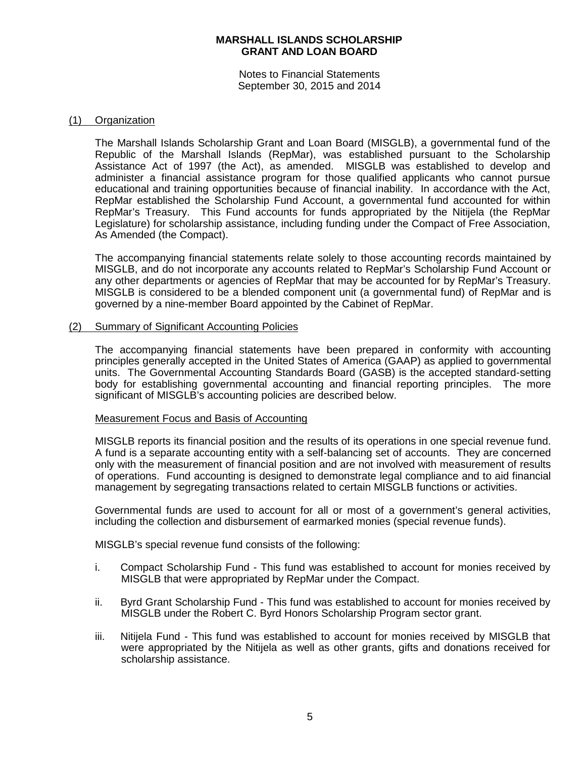Notes to Financial Statements September 30, 2015 and 2014

#### (1) Organization

The Marshall Islands Scholarship Grant and Loan Board (MISGLB), a governmental fund of the Republic of the Marshall Islands (RepMar), was established pursuant to the Scholarship Assistance Act of 1997 (the Act), as amended. MISGLB was established to develop and administer a financial assistance program for those qualified applicants who cannot pursue educational and training opportunities because of financial inability. In accordance with the Act, RepMar established the Scholarship Fund Account, a governmental fund accounted for within RepMar's Treasury. This Fund accounts for funds appropriated by the Nitijela (the RepMar Legislature) for scholarship assistance, including funding under the Compact of Free Association, As Amended (the Compact).

The accompanying financial statements relate solely to those accounting records maintained by MISGLB, and do not incorporate any accounts related to RepMar's Scholarship Fund Account or any other departments or agencies of RepMar that may be accounted for by RepMar's Treasury. MISGLB is considered to be a blended component unit (a governmental fund) of RepMar and is governed by a nine-member Board appointed by the Cabinet of RepMar.

#### (2) Summary of Significant Accounting Policies

The accompanying financial statements have been prepared in conformity with accounting principles generally accepted in the United States of America (GAAP) as applied to governmental units. The Governmental Accounting Standards Board (GASB) is the accepted standard-setting body for establishing governmental accounting and financial reporting principles. The more significant of MISGLB's accounting policies are described below.

#### Measurement Focus and Basis of Accounting

MISGLB reports its financial position and the results of its operations in one special revenue fund. A fund is a separate accounting entity with a self-balancing set of accounts. They are concerned only with the measurement of financial position and are not involved with measurement of results of operations. Fund accounting is designed to demonstrate legal compliance and to aid financial management by segregating transactions related to certain MISGLB functions or activities.

Governmental funds are used to account for all or most of a government's general activities, including the collection and disbursement of earmarked monies (special revenue funds).

MISGLB's special revenue fund consists of the following:

- i. Compact Scholarship Fund This fund was established to account for monies received by MISGLB that were appropriated by RepMar under the Compact.
- ii. Byrd Grant Scholarship Fund This fund was established to account for monies received by MISGLB under the Robert C. Byrd Honors Scholarship Program sector grant.
- iii. Nitijela Fund This fund was established to account for monies received by MISGLB that were appropriated by the Nitijela as well as other grants, gifts and donations received for scholarship assistance.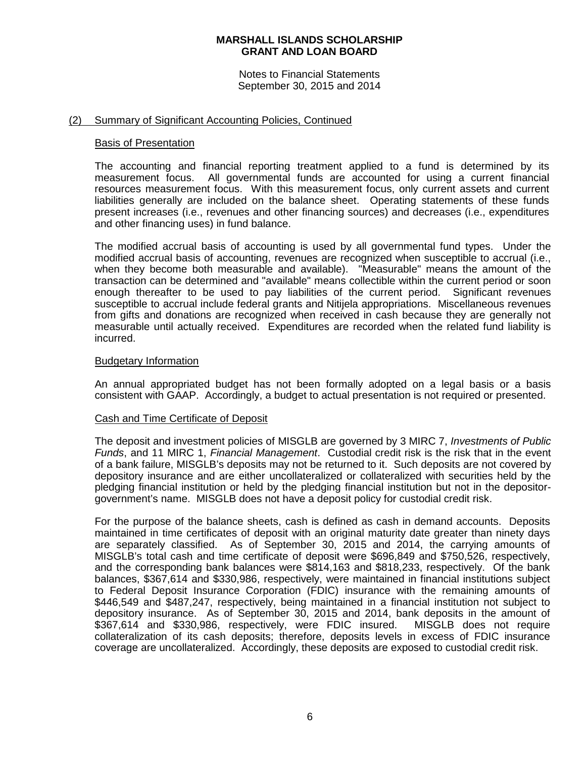Notes to Financial Statements September 30, 2015 and 2014

# (2) Summary of Significant Accounting Policies, Continued

#### Basis of Presentation

The accounting and financial reporting treatment applied to a fund is determined by its measurement focus. All governmental funds are accounted for using a current financial resources measurement focus. With this measurement focus, only current assets and current liabilities generally are included on the balance sheet. Operating statements of these funds present increases (i.e., revenues and other financing sources) and decreases (i.e., expenditures and other financing uses) in fund balance.

The modified accrual basis of accounting is used by all governmental fund types. Under the modified accrual basis of accounting, revenues are recognized when susceptible to accrual (i.e., when they become both measurable and available). "Measurable" means the amount of the transaction can be determined and "available" means collectible within the current period or soon enough thereafter to be used to pay liabilities of the current period. Significant revenues susceptible to accrual include federal grants and Nitijela appropriations. Miscellaneous revenues from gifts and donations are recognized when received in cash because they are generally not measurable until actually received. Expenditures are recorded when the related fund liability is incurred.

#### Budgetary Information

An annual appropriated budget has not been formally adopted on a legal basis or a basis consistent with GAAP. Accordingly, a budget to actual presentation is not required or presented.

#### Cash and Time Certificate of Deposit

The deposit and investment policies of MISGLB are governed by 3 MIRC 7, *Investments of Public Funds*, and 11 MIRC 1, *Financial Management*. Custodial credit risk is the risk that in the event of a bank failure, MISGLB's deposits may not be returned to it. Such deposits are not covered by depository insurance and are either uncollateralized or collateralized with securities held by the pledging financial institution or held by the pledging financial institution but not in the depositorgovernment's name. MISGLB does not have a deposit policy for custodial credit risk.

For the purpose of the balance sheets, cash is defined as cash in demand accounts. Deposits maintained in time certificates of deposit with an original maturity date greater than ninety days are separately classified. As of September 30, 2015 and 2014, the carrying amounts of MISGLB's total cash and time certificate of deposit were \$696,849 and \$750,526, respectively, and the corresponding bank balances were \$814,163 and \$818,233, respectively. Of the bank balances, \$367,614 and \$330,986, respectively, were maintained in financial institutions subject to Federal Deposit Insurance Corporation (FDIC) insurance with the remaining amounts of \$446,549 and \$487,247, respectively, being maintained in a financial institution not subject to depository insurance. As of September 30, 2015 and 2014, bank deposits in the amount of \$367,614 and \$330,986, respectively, were FDIC insured. MISGLB does not require \$367,614 and \$330,986, respectively, were FDIC insured. collateralization of its cash deposits; therefore, deposits levels in excess of FDIC insurance coverage are uncollateralized. Accordingly, these deposits are exposed to custodial credit risk.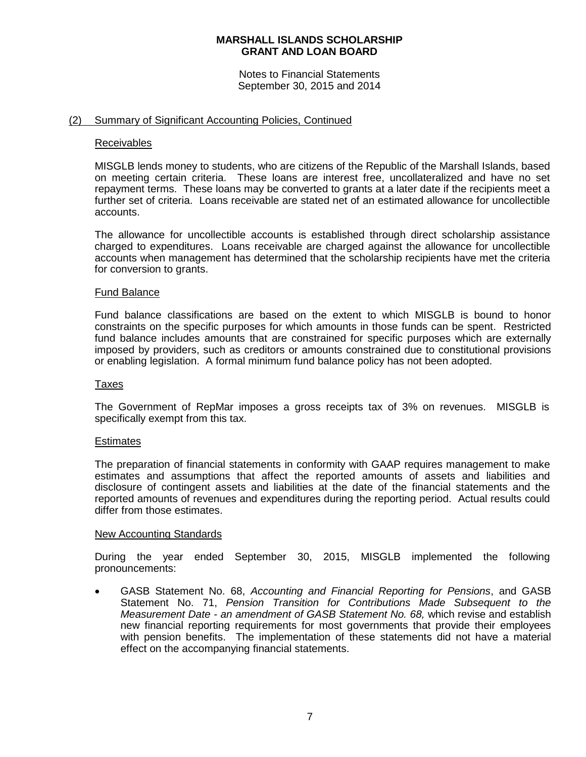Notes to Financial Statements September 30, 2015 and 2014

# (2) Summary of Significant Accounting Policies, Continued

## Receivables

MISGLB lends money to students, who are citizens of the Republic of the Marshall Islands, based on meeting certain criteria. These loans are interest free, uncollateralized and have no set repayment terms. These loans may be converted to grants at a later date if the recipients meet a further set of criteria. Loans receivable are stated net of an estimated allowance for uncollectible accounts.

The allowance for uncollectible accounts is established through direct scholarship assistance charged to expenditures. Loans receivable are charged against the allowance for uncollectible accounts when management has determined that the scholarship recipients have met the criteria for conversion to grants.

#### Fund Balance

Fund balance classifications are based on the extent to which MISGLB is bound to honor constraints on the specific purposes for which amounts in those funds can be spent. Restricted fund balance includes amounts that are constrained for specific purposes which are externally imposed by providers, such as creditors or amounts constrained due to constitutional provisions or enabling legislation. A formal minimum fund balance policy has not been adopted.

## Taxes

The Government of RepMar imposes a gross receipts tax of 3% on revenues. MISGLB is specifically exempt from this tax.

# **Estimates**

The preparation of financial statements in conformity with GAAP requires management to make estimates and assumptions that affect the reported amounts of assets and liabilities and disclosure of contingent assets and liabilities at the date of the financial statements and the reported amounts of revenues and expenditures during the reporting period. Actual results could differ from those estimates.

#### New Accounting Standards

During the year ended September 30, 2015, MISGLB implemented the following pronouncements:

• GASB Statement No. 68, *Accounting and Financial Reporting for Pensions*, and GASB Statement No. 71, *Pension Transition for Contributions Made Subsequent to the Measurement Date - an amendment of GASB Statement No. 68,* which revise and establish new financial reporting requirements for most governments that provide their employees with pension benefits. The implementation of these statements did not have a material effect on the accompanying financial statements.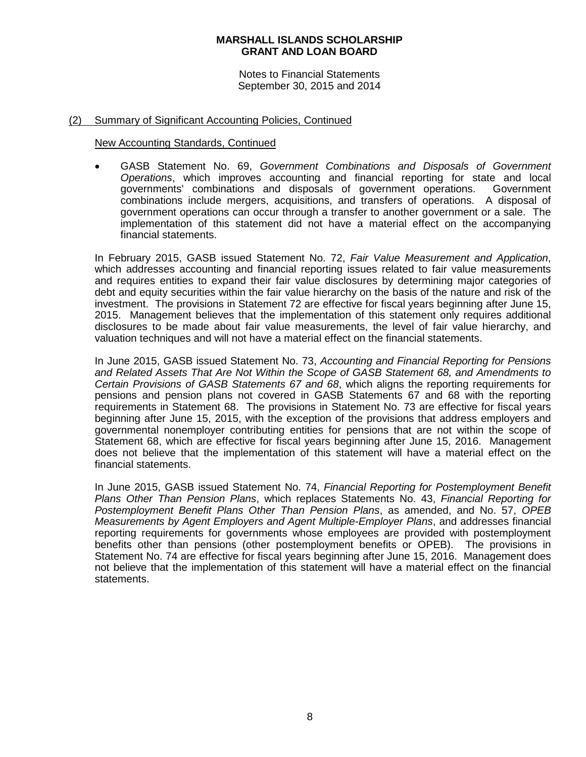Notes to Financial Statements September 30, 2015 and 2014

# (2) Summary of Significant Accounting Policies, Continued

## New Accounting Standards, Continued

• GASB Statement No. 69, *Government Combinations and Disposals of Government Operations*, which improves accounting and financial reporting for state and local governments' combinations and disposals of government operations. Government combinations include mergers, acquisitions, and transfers of operations. A disposal of government operations can occur through a transfer to another government or a sale. The implementation of this statement did not have a material effect on the accompanying financial statements.

In February 2015, GASB issued Statement No. 72, *Fair Value Measurement and Application*, which addresses accounting and financial reporting issues related to fair value measurements and requires entities to expand their fair value disclosures by determining major categories of debt and equity securities within the fair value hierarchy on the basis of the nature and risk of the investment. The provisions in Statement 72 are effective for fiscal years beginning after June 15, 2015. Management believes that the implementation of this statement only requires additional disclosures to be made about fair value measurements, the level of fair value hierarchy, and valuation techniques and will not have a material effect on the financial statements.

In June 2015, GASB issued Statement No. 73, *Accounting and Financial Reporting for Pensions and Related Assets That Are Not Within the Scope of GASB Statement 68, and Amendments to Certain Provisions of GASB Statements 67 and 68*, which aligns the reporting requirements for pensions and pension plans not covered in GASB Statements 67 and 68 with the reporting requirements in Statement 68. The provisions in Statement No. 73 are effective for fiscal years beginning after June 15, 2015, with the exception of the provisions that address employers and governmental nonemployer contributing entities for pensions that are not within the scope of Statement 68, which are effective for fiscal years beginning after June 15, 2016. Management does not believe that the implementation of this statement will have a material effect on the financial statements.

In June 2015, GASB issued Statement No. 74, *Financial Reporting for Postemployment Benefit Plans Other Than Pension Plans*, which replaces Statements No. 43, *Financial Reporting for Postemployment Benefit Plans Other Than Pension Plans*, as amended, and No. 57, *OPEB Measurements by Agent Employers and Agent Multiple-Employer Plans*, and addresses financial reporting requirements for governments whose employees are provided with postemployment benefits other than pensions (other postemployment benefits or OPEB). The provisions in Statement No. 74 are effective for fiscal years beginning after June 15, 2016. Management does not believe that the implementation of this statement will have a material effect on the financial statements.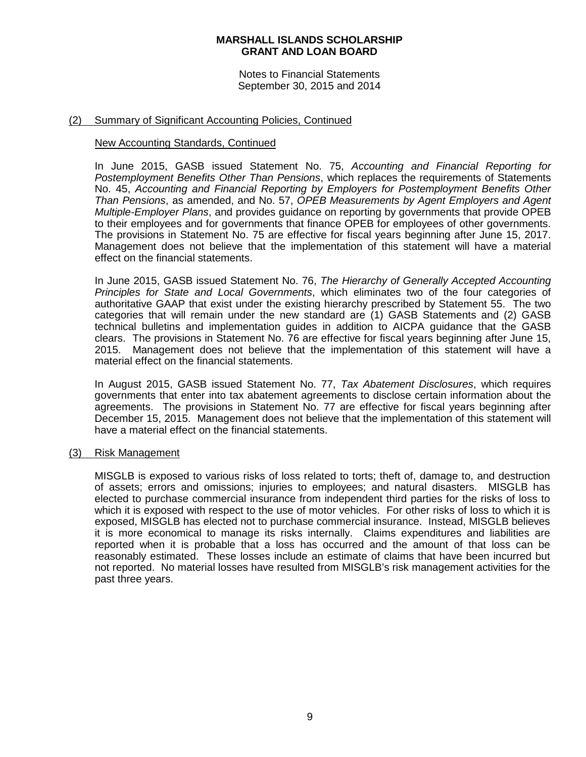Notes to Financial Statements September 30, 2015 and 2014

# (2) Summary of Significant Accounting Policies, Continued

#### New Accounting Standards, Continued

In June 2015, GASB issued Statement No. 75, *Accounting and Financial Reporting for Postemployment Benefits Other Than Pensions*, which replaces the requirements of Statements No. 45, *Accounting and Financial Reporting by Employers for Postemployment Benefits Other Than Pensions*, as amended, and No. 57, *OPEB Measurements by Agent Employers and Agent Multiple-Employer Plans*, and provides guidance on reporting by governments that provide OPEB to their employees and for governments that finance OPEB for employees of other governments. The provisions in Statement No. 75 are effective for fiscal years beginning after June 15, 2017. Management does not believe that the implementation of this statement will have a material effect on the financial statements.

In June 2015, GASB issued Statement No. 76, *The Hierarchy of Generally Accepted Accounting Principles for State and Local Governments*, which eliminates two of the four categories of authoritative GAAP that exist under the existing hierarchy prescribed by Statement 55. The two categories that will remain under the new standard are (1) GASB Statements and (2) GASB technical bulletins and implementation guides in addition to AICPA guidance that the GASB clears. The provisions in Statement No. 76 are effective for fiscal years beginning after June 15, 2015. Management does not believe that the implementation of this statement will have a material effect on the financial statements.

In August 2015, GASB issued Statement No. 77, *Tax Abatement Disclosures*, which requires governments that enter into tax abatement agreements to disclose certain information about the agreements. The provisions in Statement No. 77 are effective for fiscal years beginning after December 15, 2015. Management does not believe that the implementation of this statement will have a material effect on the financial statements.

#### (3) Risk Management

MISGLB is exposed to various risks of loss related to torts; theft of, damage to, and destruction of assets; errors and omissions; injuries to employees; and natural disasters. MISGLB has elected to purchase commercial insurance from independent third parties for the risks of loss to which it is exposed with respect to the use of motor vehicles. For other risks of loss to which it is exposed, MISGLB has elected not to purchase commercial insurance. Instead, MISGLB believes it is more economical to manage its risks internally. Claims expenditures and liabilities are reported when it is probable that a loss has occurred and the amount of that loss can be reasonably estimated. These losses include an estimate of claims that have been incurred but not reported. No material losses have resulted from MISGLB's risk management activities for the past three years.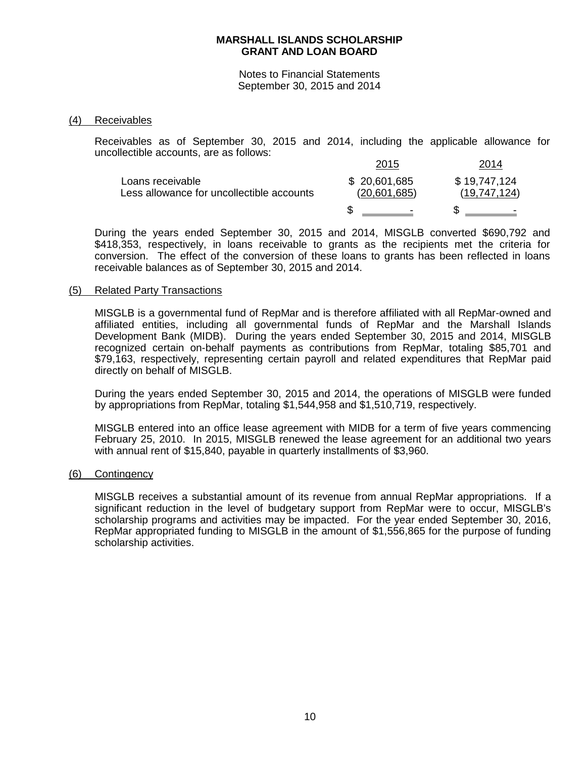Notes to Financial Statements September 30, 2015 and 2014

#### (4) Receivables

Receivables as of September 30, 2015 and 2014, including the applicable allowance for uncollectible accounts, are as follows:

|                                                               | 2015                         | 2014                           |
|---------------------------------------------------------------|------------------------------|--------------------------------|
| Loans receivable<br>Less allowance for uncollectible accounts | \$20,601,685<br>(20,601,685) | \$19,747,124<br>(19, 747, 124) |
|                                                               | -                            | -                              |

During the years ended September 30, 2015 and 2014, MISGLB converted \$690,792 and \$418,353, respectively, in loans receivable to grants as the recipients met the criteria for conversion. The effect of the conversion of these loans to grants has been reflected in loans receivable balances as of September 30, 2015 and 2014.

#### (5) Related Party Transactions

MISGLB is a governmental fund of RepMar and is therefore affiliated with all RepMar-owned and affiliated entities, including all governmental funds of RepMar and the Marshall Islands Development Bank (MIDB). During the years ended September 30, 2015 and 2014, MISGLB recognized certain on-behalf payments as contributions from RepMar, totaling \$85,701 and \$79,163, respectively, representing certain payroll and related expenditures that RepMar paid directly on behalf of MISGLB.

During the years ended September 30, 2015 and 2014, the operations of MISGLB were funded by appropriations from RepMar, totaling \$1,544,958 and \$1,510,719, respectively.

MISGLB entered into an office lease agreement with MIDB for a term of five years commencing February 25, 2010. In 2015, MISGLB renewed the lease agreement for an additional two years with annual rent of \$15,840, payable in quarterly installments of \$3,960.

#### (6) Contingency

MISGLB receives a substantial amount of its revenue from annual RepMar appropriations. If a significant reduction in the level of budgetary support from RepMar were to occur, MISGLB's scholarship programs and activities may be impacted. For the year ended September 30, 2016, RepMar appropriated funding to MISGLB in the amount of \$1,556,865 for the purpose of funding scholarship activities.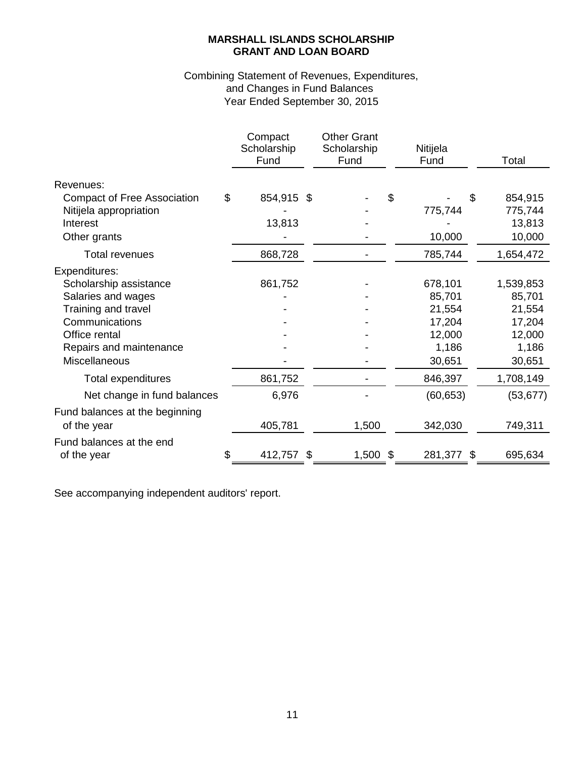# **GRANT AND LOAN BOARD MARSHALL ISLANDS SCHOLARSHIP**

# Combining Statement of Revenues, Expenditures, Year Ended September 30, 2015 and Changes in Fund Balances

|                                    | Compact<br>Scholarship<br>Fund | <b>Other Grant</b><br>Scholarship<br>Fund | Nitijela<br>Fund | Total     |
|------------------------------------|--------------------------------|-------------------------------------------|------------------|-----------|
| Revenues:                          |                                |                                           |                  |           |
| <b>Compact of Free Association</b> | \$<br>854,915 \$               |                                           | \$<br>\$         | 854,915   |
| Nitijela appropriation             |                                |                                           | 775,744          | 775,744   |
| Interest                           | 13,813                         |                                           |                  | 13,813    |
| Other grants                       |                                |                                           | 10,000           | 10,000    |
| <b>Total revenues</b>              | 868,728                        |                                           | 785,744          | 1,654,472 |
| Expenditures:                      |                                |                                           |                  |           |
| Scholarship assistance             | 861,752                        |                                           | 678,101          | 1,539,853 |
| Salaries and wages                 |                                |                                           | 85,701           | 85,701    |
| Training and travel                |                                |                                           | 21,554           | 21,554    |
| Communications                     |                                |                                           | 17,204           | 17,204    |
| Office rental                      |                                |                                           | 12,000           | 12,000    |
| Repairs and maintenance            |                                |                                           | 1,186            | 1,186     |
| Miscellaneous                      |                                |                                           | 30,651           | 30,651    |
| <b>Total expenditures</b>          | 861,752                        |                                           | 846,397          | 1,708,149 |
| Net change in fund balances        | 6,976                          |                                           | (60, 653)        | (53, 677) |
| Fund balances at the beginning     |                                |                                           |                  |           |
| of the year                        | 405,781                        | 1,500                                     | 342,030          | 749,311   |
| Fund balances at the end           |                                |                                           |                  |           |
| of the year                        | \$<br>412,757<br>\$            | 1,500 \$                                  | 281,377<br>\$    | 695,634   |

See accompanying independent auditors' report.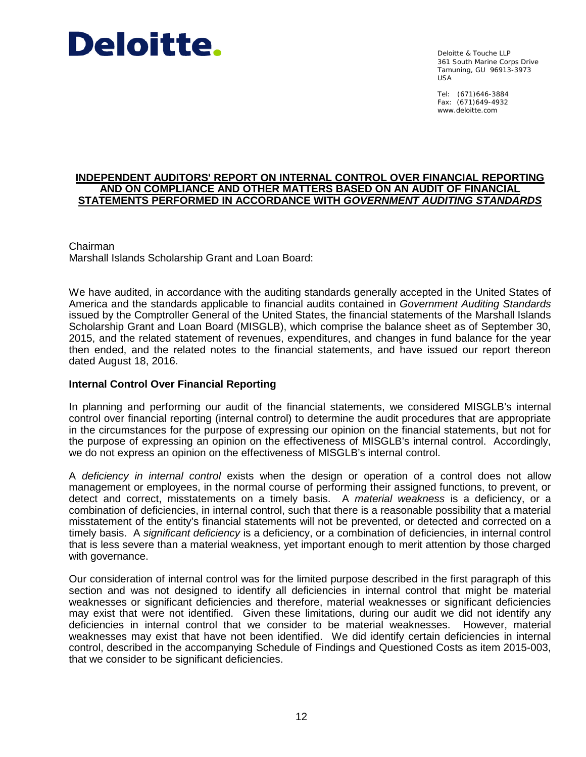# **Deloitte.**

Deloitte & Touche LLP 361 South Marine Corps Drive Tamuning, GU 96913-3973 USA

Tel: (671)646-3884 Fax: (671)649-4932 www.deloitte.com

#### **INDEPENDENT AUDITORS' REPORT ON INTERNAL CONTROL OVER FINANCIAL REPORTING AND ON COMPLIANCE AND OTHER MATTERS BASED ON AN AUDIT OF FINANCIAL STATEMENTS PERFORMED IN ACCORDANCE WITH** *GOVERNMENT AUDITING STANDARDS*

Chairman Marshall Islands Scholarship Grant and Loan Board:

We have audited, in accordance with the auditing standards generally accepted in the United States of America and the standards applicable to financial audits contained in *Government Auditing Standards* issued by the Comptroller General of the United States, the financial statements of the Marshall Islands Scholarship Grant and Loan Board (MISGLB), which comprise the balance sheet as of September 30, 2015, and the related statement of revenues, expenditures, and changes in fund balance for the year then ended, and the related notes to the financial statements, and have issued our report thereon dated August 18, 2016.

# **Internal Control Over Financial Reporting**

In planning and performing our audit of the financial statements, we considered MISGLB's internal control over financial reporting (internal control) to determine the audit procedures that are appropriate in the circumstances for the purpose of expressing our opinion on the financial statements, but not for the purpose of expressing an opinion on the effectiveness of MISGLB's internal control. Accordingly, we do not express an opinion on the effectiveness of MISGLB's internal control.

A *deficiency in internal control* exists when the design or operation of a control does not allow management or employees, in the normal course of performing their assigned functions, to prevent, or detect and correct, misstatements on a timely basis. A *material weakness* is a deficiency, or a combination of deficiencies, in internal control, such that there is a reasonable possibility that a material misstatement of the entity's financial statements will not be prevented, or detected and corrected on a timely basis. A *significant deficiency* is a deficiency, or a combination of deficiencies, in internal control that is less severe than a material weakness, yet important enough to merit attention by those charged with governance.

Our consideration of internal control was for the limited purpose described in the first paragraph of this section and was not designed to identify all deficiencies in internal control that might be material weaknesses or significant deficiencies and therefore, material weaknesses or significant deficiencies may exist that were not identified. Given these limitations, during our audit we did not identify any deficiencies in internal control that we consider to be material weaknesses. However, material weaknesses may exist that have not been identified. We did identify certain deficiencies in internal control, described in the accompanying Schedule of Findings and Questioned Costs as item 2015-003, that we consider to be significant deficiencies.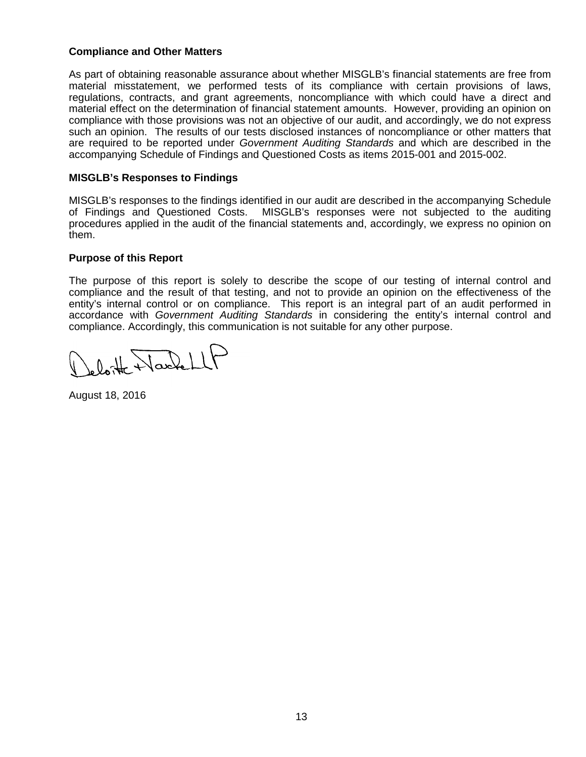# **Compliance and Other Matters**

As part of obtaining reasonable assurance about whether MISGLB's financial statements are free from material misstatement, we performed tests of its compliance with certain provisions of laws, regulations, contracts, and grant agreements, noncompliance with which could have a direct and material effect on the determination of financial statement amounts. However, providing an opinion on compliance with those provisions was not an objective of our audit, and accordingly, we do not express such an opinion. The results of our tests disclosed instances of noncompliance or other matters that are required to be reported under *Government Auditing Standards* and which are described in the accompanying Schedule of Findings and Questioned Costs as items 2015-001 and 2015-002.

# **MISGLB's Responses to Findings**

MISGLB's responses to the findings identified in our audit are described in the accompanying Schedule of Findings and Questioned Costs. MISGLB's responses were not subjected to the auditing procedures applied in the audit of the financial statements and, accordingly, we express no opinion on them.

# **Purpose of this Report**

The purpose of this report is solely to describe the scope of our testing of internal control and compliance and the result of that testing, and not to provide an opinion on the effectiveness of the entity's internal control or on compliance. This report is an integral part of an audit performed in accordance with *Government Auditing Standards* in considering the entity's internal control and compliance. Accordingly, this communication is not suitable for any other purpose.

lot Nachell

August 18, 2016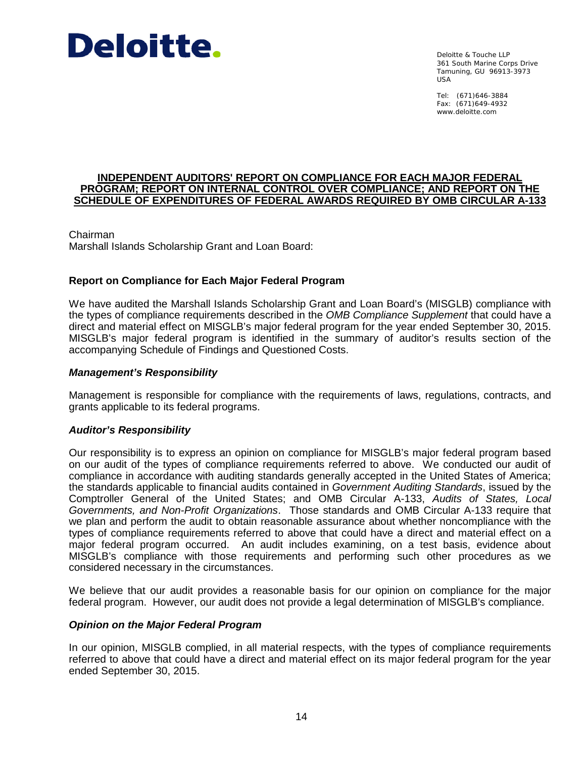

Deloitte & Touche LLP 361 South Marine Corps Drive Tamuning, GU 96913-3973 USA

Tel: (671)646-3884 Fax: (671)649-4932 www.deloitte.com

#### **INDEPENDENT AUDITORS' REPORT ON COMPLIANCE FOR EACH MAJOR FEDERAL PROGRAM; REPORT ON INTERNAL CONTROL OVER COMPLIANCE; AND REPORT ON THE SCHEDULE OF EXPENDITURES OF FEDERAL AWARDS REQUIRED BY OMB CIRCULAR A-133**

Chairman Marshall Islands Scholarship Grant and Loan Board:

# **Report on Compliance for Each Major Federal Program**

We have audited the Marshall Islands Scholarship Grant and Loan Board's (MISGLB) compliance with the types of compliance requirements described in the *OMB Compliance Supplement* that could have a direct and material effect on MISGLB's major federal program for the year ended September 30, 2015. MISGLB's major federal program is identified in the summary of auditor's results section of the accompanying Schedule of Findings and Questioned Costs.

# *Management's Responsibility*

Management is responsible for compliance with the requirements of laws, regulations, contracts, and grants applicable to its federal programs.

#### *Auditor's Responsibility*

Our responsibility is to express an opinion on compliance for MISGLB's major federal program based on our audit of the types of compliance requirements referred to above. We conducted our audit of compliance in accordance with auditing standards generally accepted in the United States of America; the standards applicable to financial audits contained in *Government Auditing Standards*, issued by the Comptroller General of the United States; and OMB Circular A-133, *Audits of States, Local Governments, and Non-Profit Organizations*. Those standards and OMB Circular A-133 require that we plan and perform the audit to obtain reasonable assurance about whether noncompliance with the types of compliance requirements referred to above that could have a direct and material effect on a major federal program occurred. An audit includes examining, on a test basis, evidence about MISGLB's compliance with those requirements and performing such other procedures as we considered necessary in the circumstances.

We believe that our audit provides a reasonable basis for our opinion on compliance for the major federal program. However, our audit does not provide a legal determination of MISGLB's compliance.

#### *Opinion on the Major Federal Program*

In our opinion, MISGLB complied, in all material respects, with the types of compliance requirements referred to above that could have a direct and material effect on its major federal program for the year ended September 30, 2015.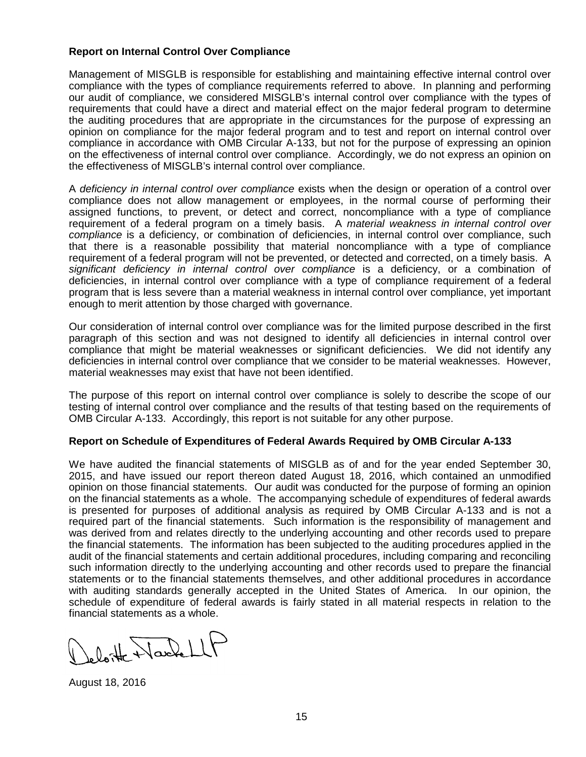# **Report on Internal Control Over Compliance**

Management of MISGLB is responsible for establishing and maintaining effective internal control over compliance with the types of compliance requirements referred to above. In planning and performing our audit of compliance, we considered MISGLB's internal control over compliance with the types of requirements that could have a direct and material effect on the major federal program to determine the auditing procedures that are appropriate in the circumstances for the purpose of expressing an opinion on compliance for the major federal program and to test and report on internal control over compliance in accordance with OMB Circular A-133, but not for the purpose of expressing an opinion on the effectiveness of internal control over compliance. Accordingly, we do not express an opinion on the effectiveness of MISGLB's internal control over compliance.

A *deficiency in internal control over compliance* exists when the design or operation of a control over compliance does not allow management or employees, in the normal course of performing their assigned functions, to prevent, or detect and correct, noncompliance with a type of compliance requirement of a federal program on a timely basis. A *material weakness in internal control over compliance* is a deficiency, or combination of deficiencies, in internal control over compliance, such that there is a reasonable possibility that material noncompliance with a type of compliance requirement of a federal program will not be prevented, or detected and corrected, on a timely basis. A *significant deficiency in internal control over compliance* is a deficiency, or a combination of deficiencies, in internal control over compliance with a type of compliance requirement of a federal program that is less severe than a material weakness in internal control over compliance, yet important enough to merit attention by those charged with governance.

Our consideration of internal control over compliance was for the limited purpose described in the first paragraph of this section and was not designed to identify all deficiencies in internal control over compliance that might be material weaknesses or significant deficiencies. We did not identify any deficiencies in internal control over compliance that we consider to be material weaknesses. However, material weaknesses may exist that have not been identified.

The purpose of this report on internal control over compliance is solely to describe the scope of our testing of internal control over compliance and the results of that testing based on the requirements of OMB Circular A-133. Accordingly, this report is not suitable for any other purpose.

# **Report on Schedule of Expenditures of Federal Awards Required by OMB Circular A-133**

We have audited the financial statements of MISGLB as of and for the year ended September 30, 2015, and have issued our report thereon dated August 18, 2016, which contained an unmodified opinion on those financial statements. Our audit was conducted for the purpose of forming an opinion on the financial statements as a whole. The accompanying schedule of expenditures of federal awards is presented for purposes of additional analysis as required by OMB Circular A-133 and is not a required part of the financial statements. Such information is the responsibility of management and was derived from and relates directly to the underlying accounting and other records used to prepare the financial statements. The information has been subjected to the auditing procedures applied in the audit of the financial statements and certain additional procedures, including comparing and reconciling such information directly to the underlying accounting and other records used to prepare the financial statements or to the financial statements themselves, and other additional procedures in accordance with auditing standards generally accepted in the United States of America. In our opinion, the schedule of expenditure of federal awards is fairly stated in all material respects in relation to the financial statements as a whole.

bitte Nachell

August 18, 2016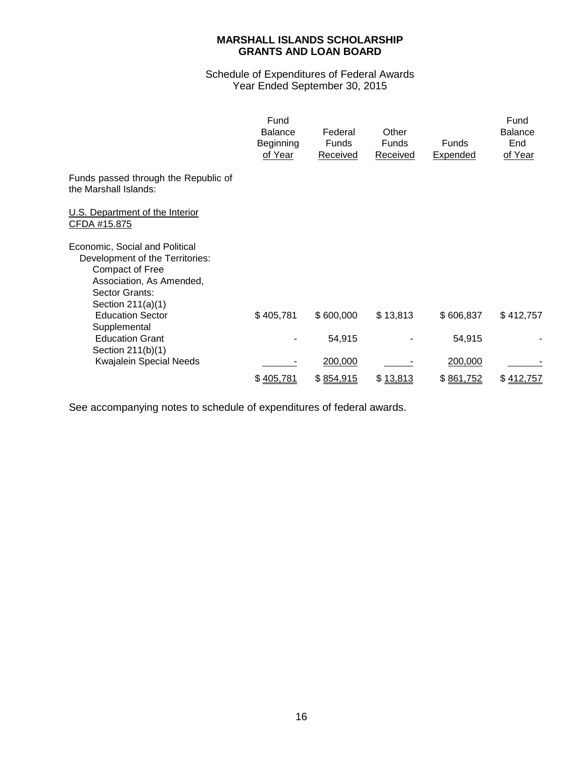Schedule of Expenditures of Federal Awards Year Ended September 30, 2015

|                                                                                                                                                         | Fund<br><b>Balance</b><br>Beginning<br>of Year | Federal<br><b>Funds</b><br>Received | Other<br><b>Funds</b><br><b>Received</b> | <b>Funds</b><br><b>Expended</b> | Fund<br><b>Balance</b><br>End<br>of Year |
|---------------------------------------------------------------------------------------------------------------------------------------------------------|------------------------------------------------|-------------------------------------|------------------------------------------|---------------------------------|------------------------------------------|
| Funds passed through the Republic of<br>the Marshall Islands:                                                                                           |                                                |                                     |                                          |                                 |                                          |
| U.S. Department of the Interior<br>CFDA #15.875                                                                                                         |                                                |                                     |                                          |                                 |                                          |
| Economic, Social and Political<br>Development of the Territories:<br>Compact of Free<br>Association, As Amended,<br>Sector Grants:<br>Section 211(a)(1) |                                                |                                     |                                          |                                 |                                          |
| <b>Education Sector</b><br>Supplemental                                                                                                                 | \$405,781                                      | \$600,000                           | \$13,813                                 | \$606,837                       | \$412,757                                |
| <b>Education Grant</b><br>Section 211(b)(1)                                                                                                             |                                                | 54,915                              |                                          | 54,915                          |                                          |
| <b>Kwajalein Special Needs</b>                                                                                                                          |                                                | 200,000                             |                                          | 200,000                         |                                          |
|                                                                                                                                                         | \$405,781                                      | \$854,915                           | \$13,813                                 | \$861,752                       | \$412,757                                |

See accompanying notes to schedule of expenditures of federal awards.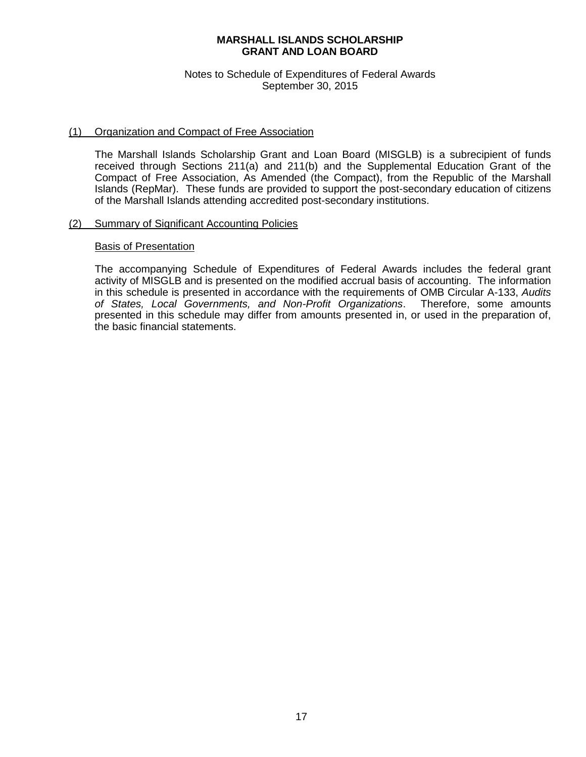Notes to Schedule of Expenditures of Federal Awards September 30, 2015

# (1) Organization and Compact of Free Association

The Marshall Islands Scholarship Grant and Loan Board (MISGLB) is a subrecipient of funds received through Sections 211(a) and 211(b) and the Supplemental Education Grant of the Compact of Free Association, As Amended (the Compact), from the Republic of the Marshall Islands (RepMar). These funds are provided to support the post-secondary education of citizens of the Marshall Islands attending accredited post-secondary institutions.

# (2) Summary of Significant Accounting Policies

#### Basis of Presentation

The accompanying Schedule of Expenditures of Federal Awards includes the federal grant activity of MISGLB and is presented on the modified accrual basis of accounting. The information in this schedule is presented in accordance with the requirements of OMB Circular A-133, *Audits of States, Local Governments, and Non-Profit Organizations*. Therefore, some amounts presented in this schedule may differ from amounts presented in, or used in the preparation of, the basic financial statements.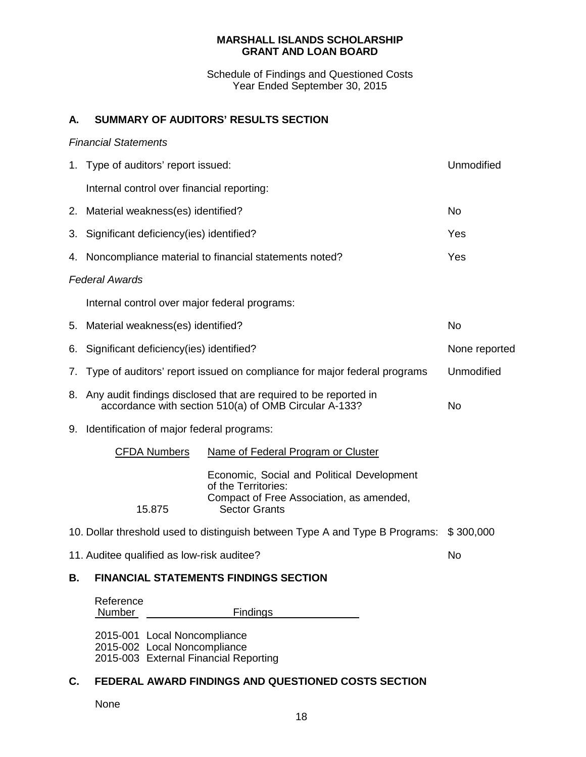Schedule of Findings and Questioned Costs Year Ended September 30, 2015

# **A. SUMMARY OF AUDITORS' RESULTS SECTION**

# *Financial Statements*

|                                            | 1. Type of auditors' report issued:                                                                                                    | Unmodified                                                                                                                            |               |  |  |  |
|--------------------------------------------|----------------------------------------------------------------------------------------------------------------------------------------|---------------------------------------------------------------------------------------------------------------------------------------|---------------|--|--|--|
| Internal control over financial reporting: |                                                                                                                                        |                                                                                                                                       |               |  |  |  |
|                                            | 2. Material weakness(es) identified?                                                                                                   |                                                                                                                                       | <b>No</b>     |  |  |  |
| 3.                                         | Significant deficiency(ies) identified?                                                                                                |                                                                                                                                       | Yes           |  |  |  |
| 4.                                         |                                                                                                                                        | Noncompliance material to financial statements noted?                                                                                 | Yes           |  |  |  |
|                                            | <b>Federal Awards</b>                                                                                                                  |                                                                                                                                       |               |  |  |  |
|                                            | Internal control over major federal programs:                                                                                          |                                                                                                                                       |               |  |  |  |
|                                            | 5. Material weakness(es) identified?<br><b>No</b>                                                                                      |                                                                                                                                       |               |  |  |  |
| 6.                                         | Significant deficiency(ies) identified?                                                                                                |                                                                                                                                       | None reported |  |  |  |
| 7.                                         | Type of auditors' report issued on compliance for major federal programs                                                               |                                                                                                                                       |               |  |  |  |
| 8.                                         | Any audit findings disclosed that are required to be reported in<br>accordance with section 510(a) of OMB Circular A-133?<br><b>No</b> |                                                                                                                                       |               |  |  |  |
|                                            | 9. Identification of major federal programs:                                                                                           |                                                                                                                                       |               |  |  |  |
|                                            | <b>CFDA Numbers</b>                                                                                                                    | Name of Federal Program or Cluster                                                                                                    |               |  |  |  |
|                                            | 15.875                                                                                                                                 | Economic, Social and Political Development<br>of the Territories:<br>Compact of Free Association, as amended,<br><b>Sector Grants</b> |               |  |  |  |
|                                            | 10. Dollar threshold used to distinguish between Type A and Type B Programs:<br>\$300,000                                              |                                                                                                                                       |               |  |  |  |
|                                            | 11. Auditee qualified as low-risk auditee?                                                                                             |                                                                                                                                       | No            |  |  |  |
| В.                                         |                                                                                                                                        | <b>FINANCIAL STATEMENTS FINDINGS SECTION</b>                                                                                          |               |  |  |  |

Reference Number **Findings** 

2015-001 Local Noncompliance 2015-002 Local Noncompliance 2015-003 External Financial Reporting

# **C. FEDERAL AWARD FINDINGS AND QUESTIONED COSTS SECTION**

None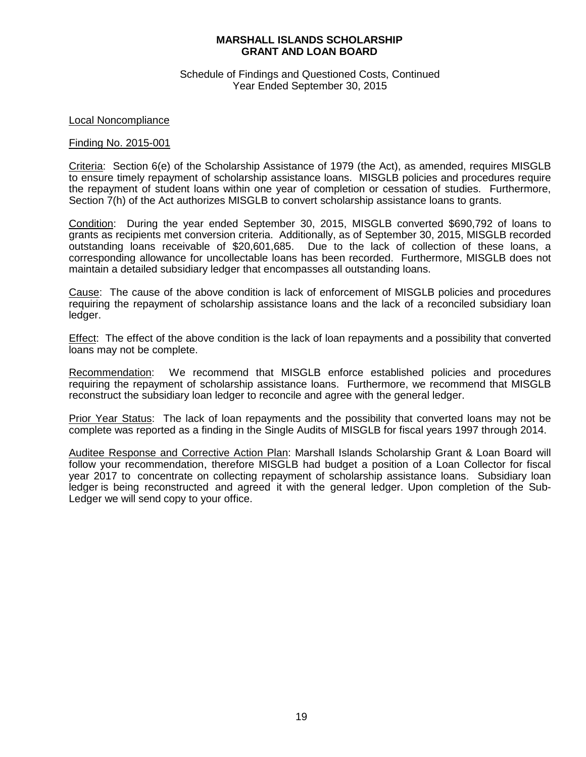Schedule of Findings and Questioned Costs, Continued Year Ended September 30, 2015

#### Local Noncompliance

#### Finding No. 2015-001

Criteria: Section 6(e) of the Scholarship Assistance of 1979 (the Act), as amended, requires MISGLB to ensure timely repayment of scholarship assistance loans. MISGLB policies and procedures require the repayment of student loans within one year of completion or cessation of studies. Furthermore, Section 7(h) of the Act authorizes MISGLB to convert scholarship assistance loans to grants.

Condition: During the year ended September 30, 2015, MISGLB converted \$690,792 of loans to grants as recipients met conversion criteria. Additionally, as of September 30, 2015, MISGLB recorded outstanding loans receivable of \$20,601,685. Due to the lack of collection of these loans, a corresponding allowance for uncollectable loans has been recorded. Furthermore, MISGLB does not maintain a detailed subsidiary ledger that encompasses all outstanding loans.

Cause: The cause of the above condition is lack of enforcement of MISGLB policies and procedures requiring the repayment of scholarship assistance loans and the lack of a reconciled subsidiary loan ledger.

Effect: The effect of the above condition is the lack of loan repayments and a possibility that converted loans may not be complete.

Recommendation: We recommend that MISGLB enforce established policies and procedures requiring the repayment of scholarship assistance loans. Furthermore, we recommend that MISGLB reconstruct the subsidiary loan ledger to reconcile and agree with the general ledger.

Prior Year Status: The lack of loan repayments and the possibility that converted loans may not be complete was reported as a finding in the Single Audits of MISGLB for fiscal years 1997 through 2014.

Auditee Response and Corrective Action Plan: Marshall Islands Scholarship Grant & Loan Board will follow your recommendation, therefore MISGLB had budget a position of a Loan Collector for fiscal year 2017 to concentrate on collecting repayment of scholarship assistance loans. Subsidiary loan ledger is being reconstructed and agreed it with the general ledger. Upon completion of the Sub-Ledger we will send copy to your office.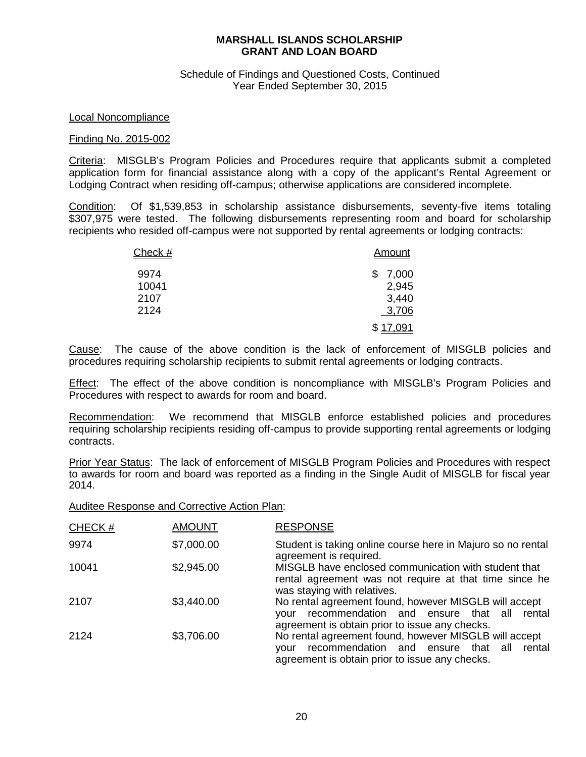# Schedule of Findings and Questioned Costs, Continued Year Ended September 30, 2015

# Local Noncompliance

#### Finding No. 2015-002

Criteria: MISGLB's Program Policies and Procedures require that applicants submit a completed application form for financial assistance along with a copy of the applicant's Rental Agreement or Lodging Contract when residing off-campus; otherwise applications are considered incomplete.

Condition: Of \$1,539,853 in scholarship assistance disbursements, seventy-five items totaling \$307,975 were tested. The following disbursements representing room and board for scholarship recipients who resided off-campus were not supported by rental agreements or lodging contracts:

| <u>Check #</u> | <u>Amount</u> |
|----------------|---------------|
| 9974           | 7,000<br>\$   |
| 10041          | 2,945         |
| 2107           | 3,440         |
| 2124           | 3,706         |
|                | \$17,091      |

Cause: The cause of the above condition is the lack of enforcement of MISGLB policies and procedures requiring scholarship recipients to submit rental agreements or lodging contracts.

Effect: The effect of the above condition is noncompliance with MISGLB's Program Policies and Procedures with respect to awards for room and board.

Recommendation: We recommend that MISGLB enforce established policies and procedures requiring scholarship recipients residing off-campus to provide supporting rental agreements or lodging contracts.

Prior Year Status: The lack of enforcement of MISGLB Program Policies and Procedures with respect to awards for room and board was reported as a finding in the Single Audit of MISGLB for fiscal year 2014.

Auditee Response and Corrective Action Plan:

| CHECK# | <b>AMOUNT</b> | <b>RESPONSE</b>                                                                                                                                                       |
|--------|---------------|-----------------------------------------------------------------------------------------------------------------------------------------------------------------------|
| 9974   | \$7,000.00    | Student is taking online course here in Majuro so no rental<br>agreement is required.                                                                                 |
| 10041  | \$2,945.00    | MISGLB have enclosed communication with student that<br>rental agreement was not require at that time since he<br>was staying with relatives.                         |
| 2107   | \$3,440.00    | No rental agreement found, however MISGLB will accept<br>recommendation and ensure that all<br>rental<br>vour<br>agreement is obtain prior to issue any checks.       |
| 2124   | \$3,706.00    | No rental agreement found, however MISGLB will accept<br>recommendation and ensure<br>that<br>all<br>rental<br>vour<br>agreement is obtain prior to issue any checks. |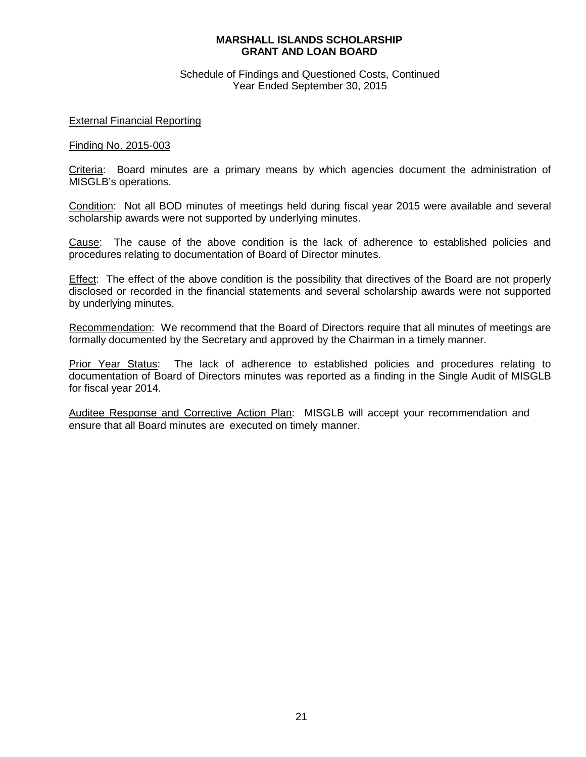Schedule of Findings and Questioned Costs, Continued Year Ended September 30, 2015

# External Financial Reporting

#### Finding No. 2015-003

Criteria: Board minutes are a primary means by which agencies document the administration of MISGLB's operations.

Condition: Not all BOD minutes of meetings held during fiscal year 2015 were available and several scholarship awards were not supported by underlying minutes.

Cause: The cause of the above condition is the lack of adherence to established policies and procedures relating to documentation of Board of Director minutes.

Effect: The effect of the above condition is the possibility that directives of the Board are not properly disclosed or recorded in the financial statements and several scholarship awards were not supported by underlying minutes.

Recommendation: We recommend that the Board of Directors require that all minutes of meetings are formally documented by the Secretary and approved by the Chairman in a timely manner.

Prior Year Status: The lack of adherence to established policies and procedures relating to documentation of Board of Directors minutes was reported as a finding in the Single Audit of MISGLB for fiscal year 2014.

Auditee Response and Corrective Action Plan: MISGLB will accept your recommendation and ensure that all Board minutes are executed on timely manner.